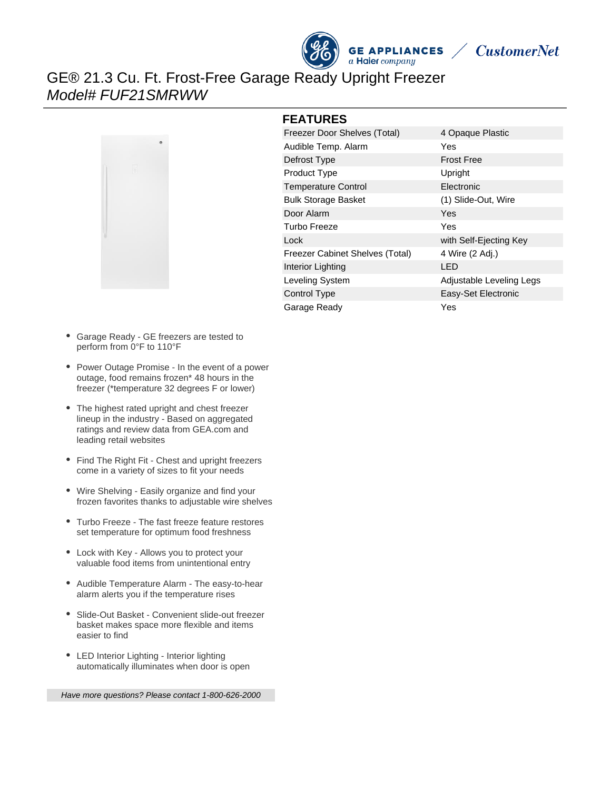



GE® 21.3 Cu. Ft. Frost-Free Garage Ready Upright Freezer Model# FUF21SMRWW



#### **FEATURES**

| 4 Opaque Plastic         |
|--------------------------|
| Yes                      |
| <b>Frost Free</b>        |
| Upright                  |
| Electronic               |
| (1) Slide-Out, Wire      |
| Yes                      |
| Yes                      |
| with Self-Ejecting Key   |
| 4 Wire (2 Adj.)          |
| LED                      |
| Adjustable Leveling Legs |
| Easy-Set Electronic      |
| Yes                      |
|                          |

- Garage Ready GE freezers are tested to perform from 0°F to 110°F
- Power Outage Promise In the event of a power outage, food remains frozen\* 48 hours in the freezer (\*temperature 32 degrees F or lower)
- The highest rated upright and chest freezer lineup in the industry - Based on aggregated ratings and review data from GEA.com and leading retail websites
- Find The Right Fit Chest and upright freezers come in a variety of sizes to fit your needs
- Wire Shelving Easily organize and find your frozen favorites thanks to adjustable wire shelves
- Turbo Freeze The fast freeze feature restores set temperature for optimum food freshness
- Lock with Key Allows you to protect your valuable food items from unintentional entry
- Audible Temperature Alarm The easy-to-hear alarm alerts you if the temperature rises
- Slide-Out Basket Convenient slide-out freezer basket makes space more flexible and items easier to find
- LED Interior Lighting Interior lighting automatically illuminates when door is open

Have more questions? Please contact 1-800-626-2000